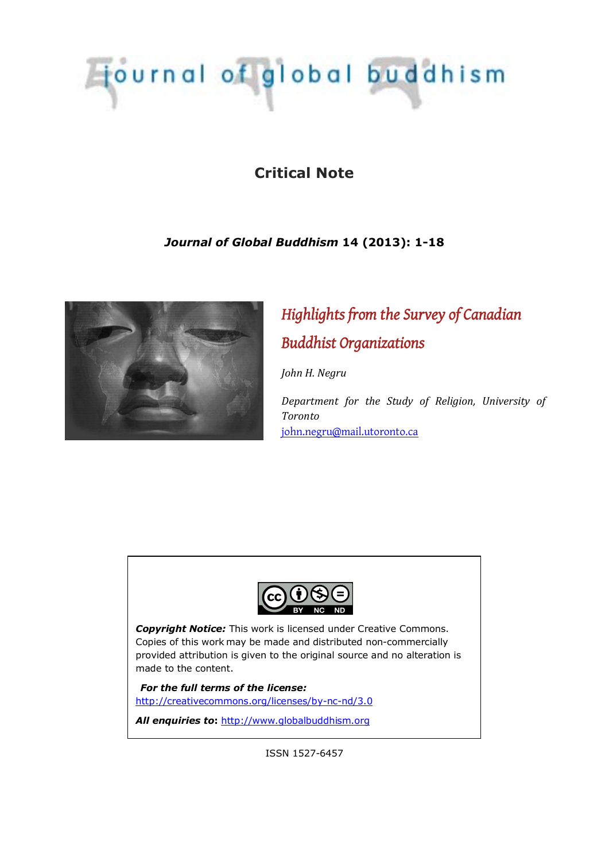# Tjournal of global buddhism

## **Critical Note**

## *Journal of Global Buddhism* **14 (2013): 1-18**



## *Highlights from the Survey of Canadian Buddhist Organizations*

*John H. Negru* 

*Department for the Study of Religion, University of Toronto*  [john.negru@mail.utoronto.ca](mailto:john.negru@mail.utoronto.ca)



*Copyright Notice:* This work is licensed under Creative Commons. Copies of this work may be made and distributed non-commercially provided attribution is given to the original source and no alteration is made to the content.

*For the full terms of the license:* <http://creativecommons.org/licenses/by-nc-nd/3.0>

All enquiries to: [http://www.globalbuddhism.org](http://www.globalbuddhism.org/)

ISSN 1527-6457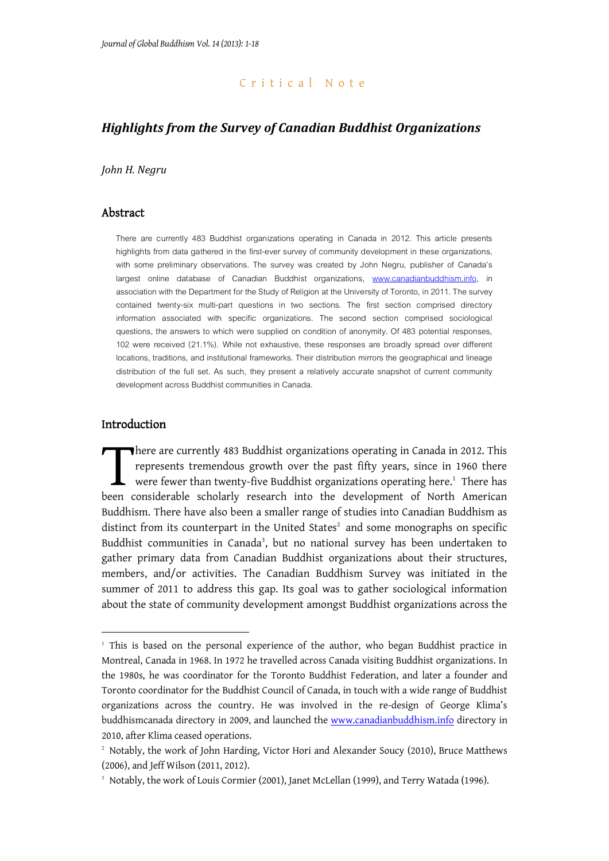#### Critical Note

## *Highlights from the Survey of Canadian Buddhist Organizations*

*John H. Negru*

## Abstract

There are currently 483 Buddhist organizations operating in Canada in 2012. This article presents highlights from data gathered in the first-ever survey of community development in these organizations, with some preliminary observations. The survey was created by John Negru, publisher of Canada's largest online database of Canadian Buddhist organizations, [www.canadianbuddhism.info](http://www.canadianbuddhism.info/), in association with the Department for the Study of Religion at the University of Toronto, in 2011. The survey contained twenty-six multi-part questions in two sections. The first section comprised directory information associated with specific organizations. The second section comprised sociological questions, the answers to which were supplied on condition of anonymity. Of 483 potential responses, 102 were received (21.1%). While not exhaustive, these responses are broadly spread over different locations, traditions, and institutional frameworks. Their distribution mirrors the geographical and lineage distribution of the full set. As such, they present a relatively accurate snapshot of current community development across Buddhist communities in Canada.

#### Introduction

1

here are currently 483 Buddhist organizations operating in Canada in 2012. This represents tremendous growth over the past fifty years, since in 1960 there were fewer than twenty-five Buddhist organizations operating here.<sup>1</sup> There has There are currently 483 Buddhist organizations operating in Canada in 2012. This represents tremendous growth over the past fifty years, since in 1960 there were fewer than twenty-five Buddhist organizations operating here Buddhism. There have also been a smaller range of studies into Canadian Buddhism as distinct from its counterpart in the United States $2$  and some monographs on specific Buddhist communities in Canada<sup>3</sup>, but no national survey has been undertaken to gather primary data from Canadian Buddhist organizations about their structures, members, and/or activities. The Canadian Buddhism Survey was initiated in the summer of 2011 to address this gap. Its goal was to gather sociological information about the state of community development amongst Buddhist organizations across the

<sup>1</sup> This is based on the personal experience of the author, who began Buddhist practice in Montreal, Canada in 1968. In 1972 he travelled across Canada visiting Buddhist organizations. In the 1980s, he was coordinator for the Toronto Buddhist Federation, and later a founder and Toronto coordinator for the Buddhist Council of Canada, in touch with a wide range of Buddhist organizations across the country. He was involved in the re-design of George Klima's buddhismcanada directory in 2009, and launched the [www.canadianbuddhism.info](http://www.canadianbuddhism.info/) directory in 2010, after Klima ceased operations.

<sup>2</sup> Notably, the work of John Harding, Victor Hori and Alexander Soucy (2010), Bruce Matthews (2006), and Jeff Wilson (2011, 2012).

<sup>3</sup> Notably, the work of Louis Cormier (2001), Janet McLellan (1999), and Terry Watada (1996).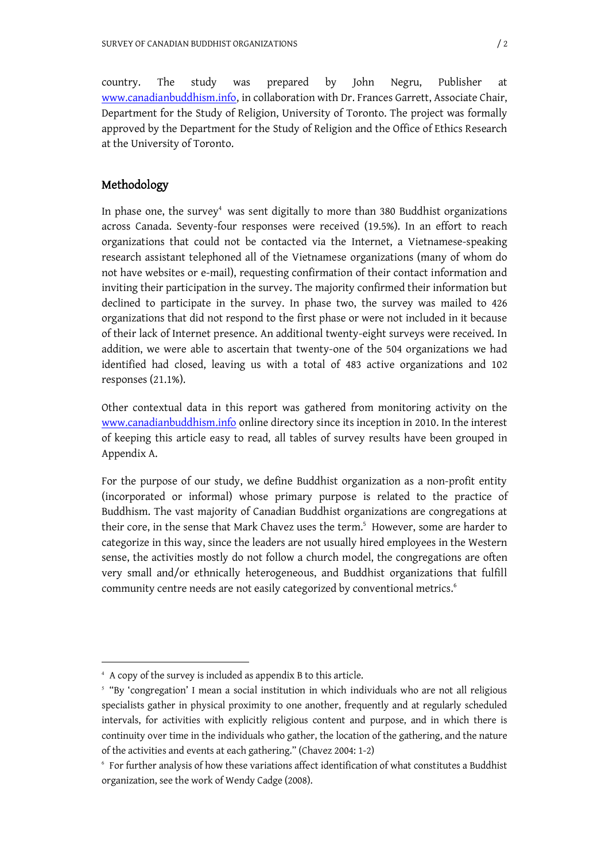country. The study was prepared by John Negru, Publisher at [www.canadianbuddhism.info](http://www.canadianbuddhism.info/), in collaboration with Dr. Frances Garrett, Associate Chair, Department for the Study of Religion, University of Toronto. The project was formally approved by the Department for the Study of Religion and the Office of Ethics Research at the University of Toronto.

## Methodology

1

In phase one, the survey $4$  was sent digitally to more than 380 Buddhist organizations across Canada. Seventy-four responses were received (19.5%). In an effort to reach organizations that could not be contacted via the Internet, a Vietnamese-speaking research assistant telephoned all of the Vietnamese organizations (many of whom do not have websites or e-mail), requesting confirmation of their contact information and inviting their participation in the survey. The majority confirmed their information but declined to participate in the survey. In phase two, the survey was mailed to 426 organizations that did not respond to the first phase or were not included in it because of their lack of Internet presence. An additional twenty-eight surveys were received. In addition, we were able to ascertain that twenty-one of the 504 organizations we had identified had closed, leaving us with a total of 483 active organizations and 102 responses (21.1%).

Other contextual data in this report was gathered from monitoring activity on the [www.canadianbuddhism.info](http://www.canadianbuddhism.info/) online directory since its inception in 2010. In the interest of keeping this article easy to read, all tables of survey results have been grouped in Appendix A.

For the purpose of our study, we define Buddhist organization as a non-profit entity (incorporated or informal) whose primary purpose is related to the practice of Buddhism. The vast majority of Canadian Buddhist organizations are congregations at their core, in the sense that Mark Chavez uses the term.<sup>5</sup> However, some are harder to categorize in this way, since the leaders are not usually hired employees in the Western sense, the activities mostly do not follow a church model, the congregations are often very small and/or ethnically heterogeneous, and Buddhist organizations that fulfill community centre needs are not easily categorized by conventional metrics.<sup>6</sup>

<sup>4</sup> A copy of the survey is included as appendix B to this article.

 $5$  "By 'congregation' I mean a social institution in which individuals who are not all religious specialists gather in physical proximity to one another, frequently and at regularly scheduled intervals, for activities with explicitly religious content and purpose, and in which there is continuity over time in the individuals who gather, the location of the gathering, and the nature of the activities and events at each gathering." (Chavez 2004: 1-2)

 $6\,$  For further analysis of how these variations affect identification of what constitutes a Buddhist organization, see the work of Wendy Cadge (2008).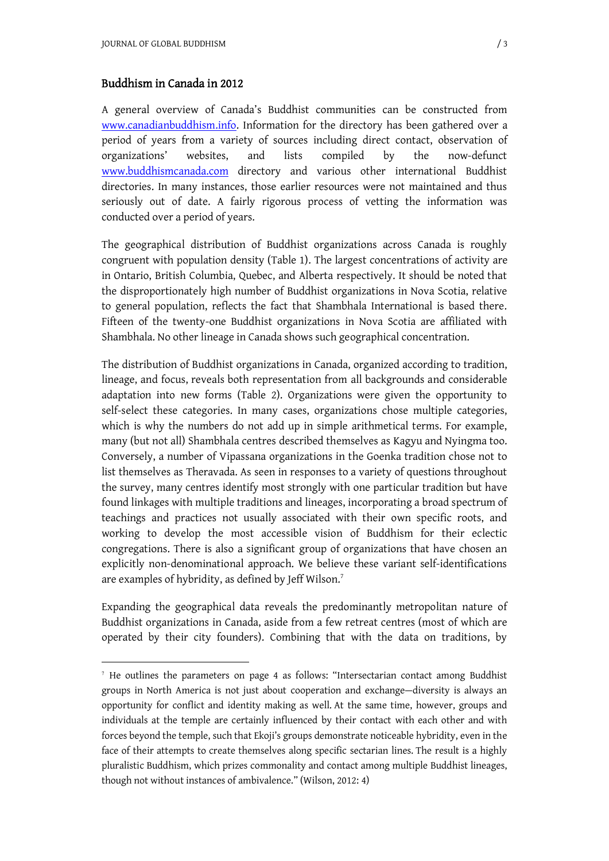1

### Buddhism in Canada in 2012

A general overview of Canada's Buddhist communities can be constructed from [www.canadianbuddhism.info.](http://www.canadianbuddhism.info./) Information for the directory has been gathered over a period of years from a variety of sources including direct contact, observation of organizations' websites, and lists compiled by the now-defunct [www.buddhismcanada.com](http://www.buddhismcanada.com/) directory and various other international Buddhist directories. In many instances, those earlier resources were not maintained and thus seriously out of date. A fairly rigorous process of vetting the information was conducted over a period of years.

The geographical distribution of Buddhist organizations across Canada is roughly congruent with population density (Table 1). The largest concentrations of activity are in Ontario, British Columbia, Quebec, and Alberta respectively. It should be noted that the disproportionately high number of Buddhist organizations in Nova Scotia, relative to general population, reflects the fact that Shambhala International is based there. Fifteen of the twenty-one Buddhist organizations in Nova Scotia are affiliated with Shambhala. No other lineage in Canada shows such geographical concentration.

The distribution of Buddhist organizations in Canada, organized according to tradition, lineage, and focus, reveals both representation from all backgrounds and considerable adaptation into new forms (Table 2). Organizations were given the opportunity to self-select these categories. In many cases, organizations chose multiple categories, which is why the numbers do not add up in simple arithmetical terms. For example, many (but not all) Shambhala centres described themselves as Kagyu and Nyingma too. Conversely, a number of Vipassana organizations in the Goenka tradition chose not to list themselves as Theravada. As seen in responses to a variety of questions throughout the survey, many centres identify most strongly with one particular tradition but have found linkages with multiple traditions and lineages, incorporating a broad spectrum of teachings and practices not usually associated with their own specific roots, and working to develop the most accessible vision of Buddhism for their eclectic congregations. There is also a significant group of organizations that have chosen an explicitly non-denominational approach. We believe these variant self-identifications are examples of hybridity, as defined by Jeff Wilson.<sup>7</sup>

Expanding the geographical data reveals the predominantly metropolitan nature of Buddhist organizations in Canada, aside from a few retreat centres (most of which are operated by their city founders). Combining that with the data on traditions, by

<sup>7</sup> He outlines the parameters on page 4 as follows: "Intersectarian contact among Buddhist groups in North America is not just about cooperation and exchange—diversity is always an opportunity for conflict and identity making as well. At the same time, however, groups and individuals at the temple are certainly influenced by their contact with each other and with forces beyond the temple, such that Ekoji's groups demonstrate noticeable hybridity, even in the face of their attempts to create themselves along specific sectarian lines. The result is a highly pluralistic Buddhism, which prizes commonality and contact among multiple Buddhist lineages, though not without instances of ambivalence." (Wilson, 2012: 4)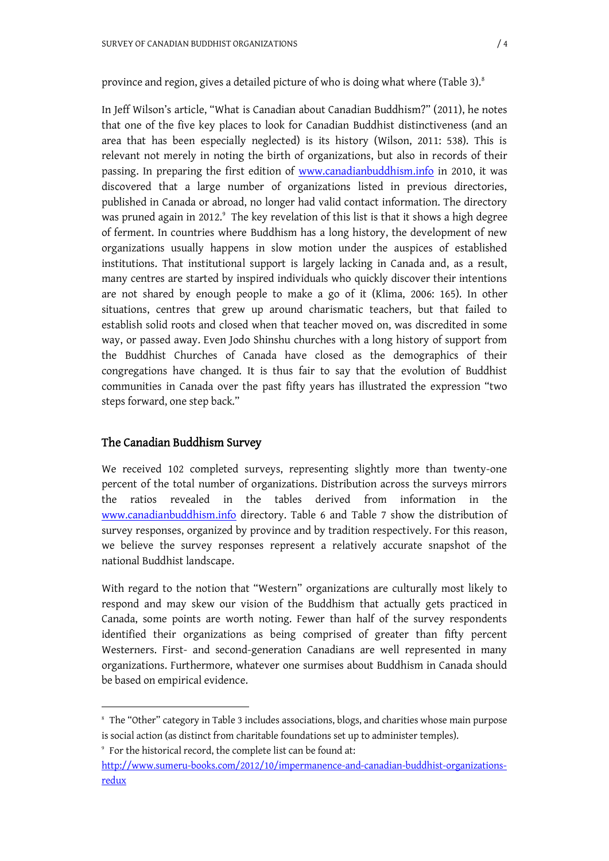In Jeff Wilson's article, "What is Canadian about Canadian Buddhism?" (2011), he notes that one of the five key places to look for Canadian Buddhist distinctiveness (and an area that has been especially neglected) is its history (Wilson, 2011: 538). This is relevant not merely in noting the birth of organizations, but also in records of their passing. In preparing the first edition of [www.canadianbuddhism.info](http://www.canadianbuddhism.info/) in 2010, it was discovered that a large number of organizations listed in previous directories, published in Canada or abroad, no longer had valid contact information. The directory was pruned again in 2012.<sup>9</sup> The key revelation of this list is that it shows a high degree of ferment. In countries where Buddhism has a long history, the development of new organizations usually happens in slow motion under the auspices of established institutions. That institutional support is largely lacking in Canada and, as a result, many centres are started by inspired individuals who quickly discover their intentions are not shared by enough people to make a go of it (Klima, 2006: 165). In other situations, centres that grew up around charismatic teachers, but that failed to establish solid roots and closed when that teacher moved on, was discredited in some way, or passed away. Even Jodo Shinshu churches with a long history of support from the Buddhist Churches of Canada have closed as the demographics of their congregations have changed. It is thus fair to say that the evolution of Buddhist communities in Canada over the past fifty years has illustrated the expression "two steps forward, one step back."

## The Canadian Buddhism Survey

<u>.</u>

We received 102 completed surveys, representing slightly more than twenty-one percent of the total number of organizations. Distribution across the surveys mirrors the ratios revealed in the tables derived from information in the [www.canadianbuddhism.info](http://www.canadianbuddhism.info/) directory. Table 6 and Table 7 show the distribution of survey responses, organized by province and by tradition respectively. For this reason, we believe the survey responses represent a relatively accurate snapshot of the national Buddhist landscape.

With regard to the notion that "Western" organizations are culturally most likely to respond and may skew our vision of the Buddhism that actually gets practiced in Canada, some points are worth noting. Fewer than half of the survey respondents identified their organizations as being comprised of greater than fifty percent Westerners. First- and second-generation Canadians are well represented in many organizations. Furthermore, whatever one surmises about Buddhism in Canada should be based on empirical evidence.

<sup>8</sup> The "Other" category in Table 3 includes associations, blogs, and charities whose main purpose is social action (as distinct from charitable foundations set up to administer temples).

<sup>9</sup> For the historical record, the complete list can be found at:

[http://www.sumeru-books.com/2012/10/impermanence-and-canadian-buddhist-organizations](http://www.sumeru-books.com/2012/10/impermanence-and-canadian-buddhist-organizations-)redux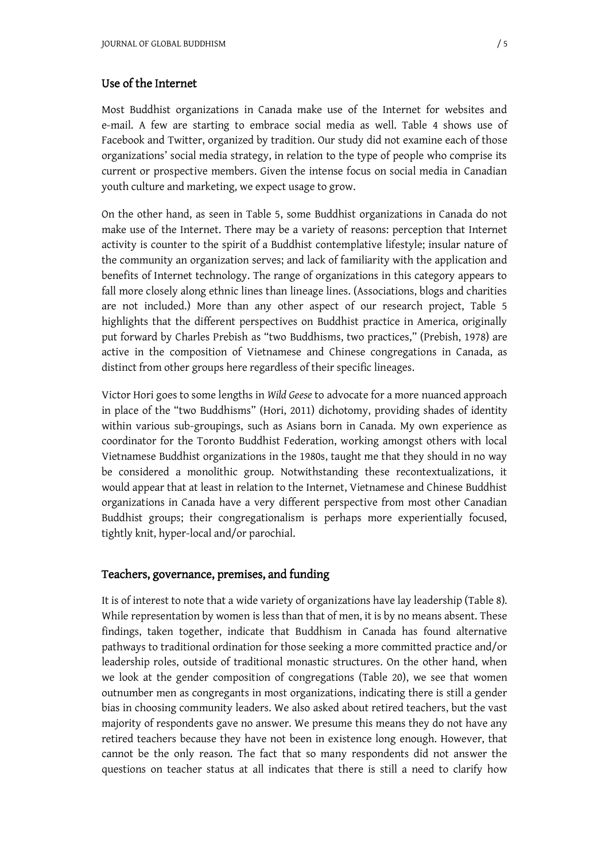## Use of the Internet

Most Buddhist organizations in Canada make use of the Internet for websites and e-mail. A few are starting to embrace social media as well. Table 4 shows use of Facebook and Twitter, organized by tradition. Our study did not examine each of those organizations' social media strategy, in relation to the type of people who comprise its current or prospective members. Given the intense focus on social media in Canadian youth culture and marketing, we expect usage to grow.

On the other hand, as seen in Table 5, some Buddhist organizations in Canada do not make use of the Internet. There may be a variety of reasons: perception that Internet activity is counter to the spirit of a Buddhist contemplative lifestyle; insular nature of the community an organization serves; and lack of familiarity with the application and benefits of Internet technology. The range of organizations in this category appears to fall more closely along ethnic lines than lineage lines. (Associations, blogs and charities are not included.) More than any other aspect of our research project, Table 5 highlights that the different perspectives on Buddhist practice in America, originally put forward by Charles Prebish as "two Buddhisms, two practices," (Prebish, 1978) are active in the composition of Vietnamese and Chinese congregations in Canada, as distinct from other groups here regardless of their specific lineages.

Victor Hori goes to some lengths in *Wild Geese* to advocate for a more nuanced approach in place of the "two Buddhisms" (Hori, 2011) dichotomy, providing shades of identity within various sub-groupings, such as Asians born in Canada. My own experience as coordinator for the Toronto Buddhist Federation, working amongst others with local Vietnamese Buddhist organizations in the 1980s, taught me that they should in no way be considered a monolithic group. Notwithstanding these recontextualizations, it would appear that at least in relation to the Internet, Vietnamese and Chinese Buddhist organizations in Canada have a very different perspective from most other Canadian Buddhist groups; their congregationalism is perhaps more experientially focused, tightly knit, hyper-local and/or parochial.

#### Teachers, governance, premises, and funding

It is of interest to note that a wide variety of organizations have lay leadership (Table 8)*.* While representation by women is less than that of men, it is by no means absent. These findings, taken together, indicate that Buddhism in Canada has found alternative pathways to traditional ordination for those seeking a more committed practice and/or leadership roles, outside of traditional monastic structures. On the other hand, when we look at the gender composition of congregations (Table 20), we see that women outnumber men as congregants in most organizations, indicating there is still a gender bias in choosing community leaders. We also asked about retired teachers, but the vast majority of respondents gave no answer. We presume this means they do not have any retired teachers because they have not been in existence long enough. However, that cannot be the only reason. The fact that so many respondents did not answer the questions on teacher status at all indicates that there is still a need to clarify how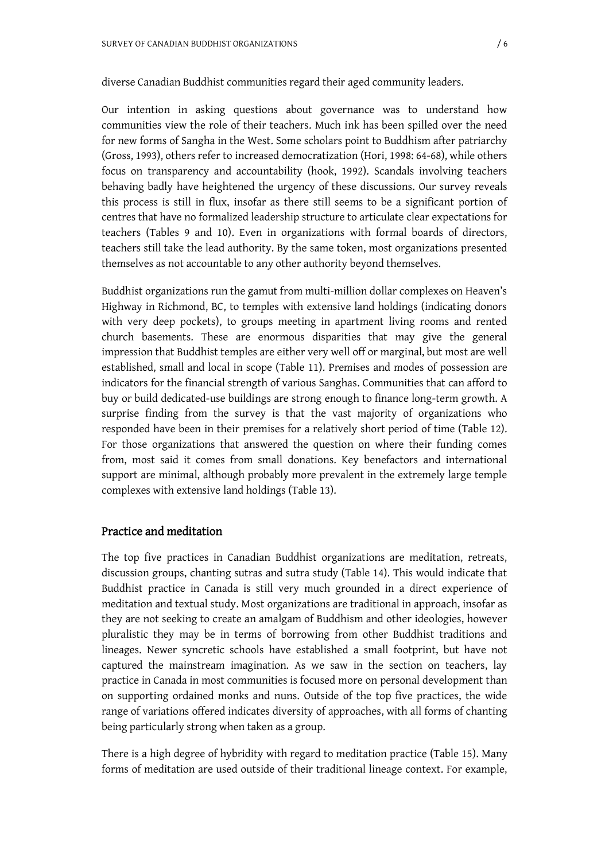#### diverse Canadian Buddhist communities regard their aged community leaders.

Our intention in asking questions about governance was to understand how communities view the role of their teachers. Much ink has been spilled over the need for new forms of Sangha in the West. Some scholars point to Buddhism after patriarchy (Gross, 1993), others refer to increased democratization (Hori, 1998: 64-68), while others focus on transparency and accountability (hook, 1992). Scandals involving teachers behaving badly have heightened the urgency of these discussions. Our survey reveals this process is still in flux, insofar as there still seems to be a significant portion of centres that have no formalized leadership structure to articulate clear expectations for teachers (Tables 9 and 10). Even in organizations with formal boards of directors, teachers still take the lead authority. By the same token, most organizations presented themselves as not accountable to any other authority beyond themselves.

Buddhist organizations run the gamut from multi-million dollar complexes on Heaven's Highway in Richmond, BC, to temples with extensive land holdings (indicating donors with very deep pockets), to groups meeting in apartment living rooms and rented church basements. These are enormous disparities that may give the general impression that Buddhist temples are either very well off or marginal, but most are well established, small and local in scope (Table 11). Premises and modes of possession are indicators for the financial strength of various Sanghas. Communities that can afford to buy or build dedicated-use buildings are strong enough to finance long-term growth. A surprise finding from the survey is that the vast majority of organizations who responded have been in their premises for a relatively short period of time (Table 12). For those organizations that answered the question on where their funding comes from, most said it comes from small donations. Key benefactors and international support are minimal, although probably more prevalent in the extremely large temple complexes with extensive land holdings (Table 13).

#### Practice and meditation

The top five practices in Canadian Buddhist organizations are meditation, retreats, discussion groups, chanting sutras and sutra study (Table 14). This would indicate that Buddhist practice in Canada is still very much grounded in a direct experience of meditation and textual study. Most organizations are traditional in approach, insofar as they are not seeking to create an amalgam of Buddhism and other ideologies, however pluralistic they may be in terms of borrowing from other Buddhist traditions and lineages. Newer syncretic schools have established a small footprint, but have not captured the mainstream imagination. As we saw in the section on teachers, lay practice in Canada in most communities is focused more on personal development than on supporting ordained monks and nuns. Outside of the top five practices, the wide range of variations offered indicates diversity of approaches, with all forms of chanting being particularly strong when taken as a group.

There is a high degree of hybridity with regard to meditation practice (Table 15). Many forms of meditation are used outside of their traditional lineage context. For example,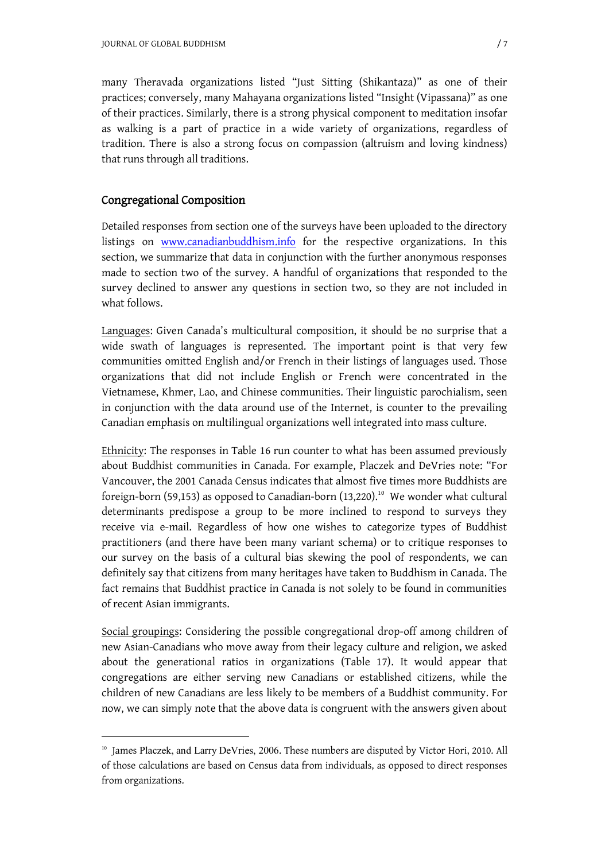many Theravada organizations listed "Just Sitting (Shikantaza)" as one of their practices; conversely, many Mahayana organizations listed "Insight (Vipassana)" as one of their practices. Similarly, there is a strong physical component to meditation insofar as walking is a part of practice in a wide variety of organizations, regardless of tradition. There is also a strong focus on compassion (altruism and loving kindness) that runs through all traditions.

## Congregational Composition

<u>.</u>

Detailed responses from section one of the surveys have been uploaded to the directory listings on [www.canadianbuddhism.info](http://www.canadianbuddhism.info/) for the respective organizations. In this section, we summarize that data in conjunction with the further anonymous responses made to section two of the survey. A handful of organizations that responded to the survey declined to answer any questions in section two, so they are not included in what follows.

Languages: Given Canada's multicultural composition, it should be no surprise that a wide swath of languages is represented. The important point is that very few communities omitted English and/or French in their listings of languages used. Those organizations that did not include English or French were concentrated in the Vietnamese, Khmer, Lao, and Chinese communities. Their linguistic parochialism, seen in conjunction with the data around use of the Internet, is counter to the prevailing Canadian emphasis on multilingual organizations well integrated into mass culture.

Ethnicity: The responses in Table 16 run counter to what has been assumed previously about Buddhist communities in Canada. For example, Placzek and DeVries note: "For Vancouver, the 2001 Canada Census indicates that almost five times more Buddhists are foreign-born (59,153) as opposed to Canadian-born (13,220).<sup>10</sup> We wonder what cultural determinants predispose a group to be more inclined to respond to surveys they receive via e-mail. Regardless of how one wishes to categorize types of Buddhist practitioners (and there have been many variant schema) or to critique responses to our survey on the basis of a cultural bias skewing the pool of respondents, we can definitely say that citizens from many heritages have taken to Buddhism in Canada. The fact remains that Buddhist practice in Canada is not solely to be found in communities of recent Asian immigrants.

Social groupings: Considering the possible congregational drop-off among children of new Asian-Canadians who move away from their legacy culture and religion, we asked about the generational ratios in organizations (Table 17). It would appear that congregations are either serving new Canadians or established citizens, while the children of new Canadians are less likely to be members of a Buddhist community. For now, we can simply note that the above data is congruent with the answers given about

<sup>&</sup>lt;sup>10</sup> James Placzek, and Larry DeVries, 2006. These numbers are disputed by Victor Hori, 2010. All of those calculations are based on Census data from individuals, as opposed to direct responses from organizations.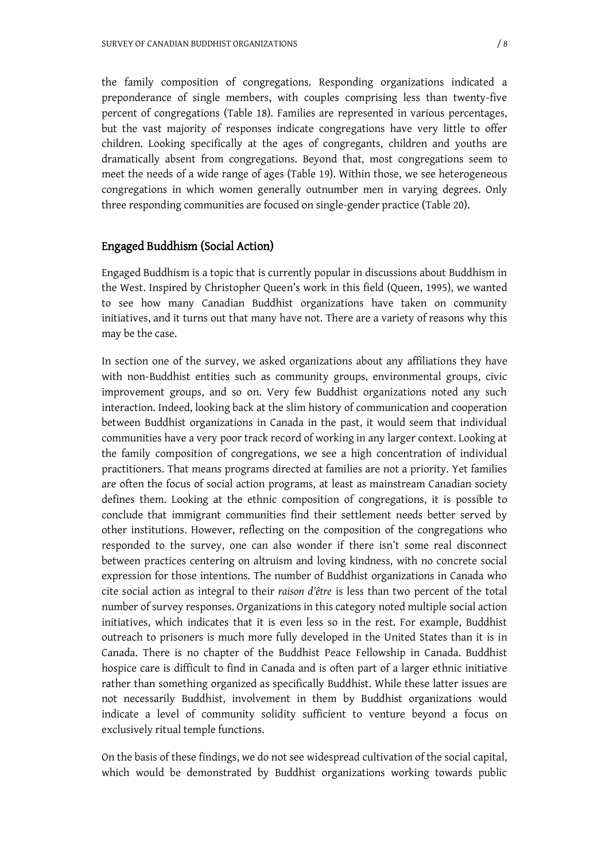the family composition of congregations. Responding organizations indicated a preponderance of single members, with couples comprising less than twenty-five percent of congregations (Table 18). Families are represented in various percentages, but the vast majority of responses indicate congregations have very little to offer children. Looking specifically at the ages of congregants, children and youths are dramatically absent from congregations. Beyond that, most congregations seem to meet the needs of a wide range of ages (Table 19). Within those, we see heterogeneous congregations in which women generally outnumber men in varying degrees. Only three responding communities are focused on single-gender practice (Table 20).

#### Engaged Buddhism (Social Action)

Engaged Buddhism is a topic that is currently popular in discussions about Buddhism in the West. Inspired by Christopher Queen's work in this field (Queen, 1995), we wanted to see how many Canadian Buddhist organizations have taken on community initiatives, and it turns out that many have not. There are a variety of reasons why this may be the case.

In section one of the survey, we asked organizations about any affiliations they have with non-Buddhist entities such as community groups, environmental groups, civic improvement groups, and so on. Very few Buddhist organizations noted any such interaction. Indeed, looking back at the slim history of communication and cooperation between Buddhist organizations in Canada in the past, it would seem that individual communities have a very poor track record of working in any larger context. Looking at the family composition of congregations, we see a high concentration of individual practitioners. That means programs directed at families are not a priority. Yet families are often the focus of social action programs, at least as mainstream Canadian society defines them. Looking at the ethnic composition of congregations, it is possible to conclude that immigrant communities find their settlement needs better served by other institutions. However, reflecting on the composition of the congregations who responded to the survey, one can also wonder if there isn't some real disconnect between practices centering on altruism and loving kindness, with no concrete social expression for those intentions. The number of Buddhist organizations in Canada who cite social action as integral to their *raison d'être* is less than two percent of the total number of survey responses. Organizations in this category noted multiple social action initiatives, which indicates that it is even less so in the rest. For example, Buddhist outreach to prisoners is much more fully developed in the United States than it is in Canada. There is no chapter of the Buddhist Peace Fellowship in Canada. Buddhist hospice care is difficult to find in Canada and is often part of a larger ethnic initiative rather than something organized as specifically Buddhist. While these latter issues are not necessarily Buddhist, involvement in them by Buddhist organizations would indicate a level of community solidity sufficient to venture beyond a focus on exclusively ritual temple functions.

On the basis of these findings, we do not see widespread cultivation of the social capital, which would be demonstrated by Buddhist organizations working towards public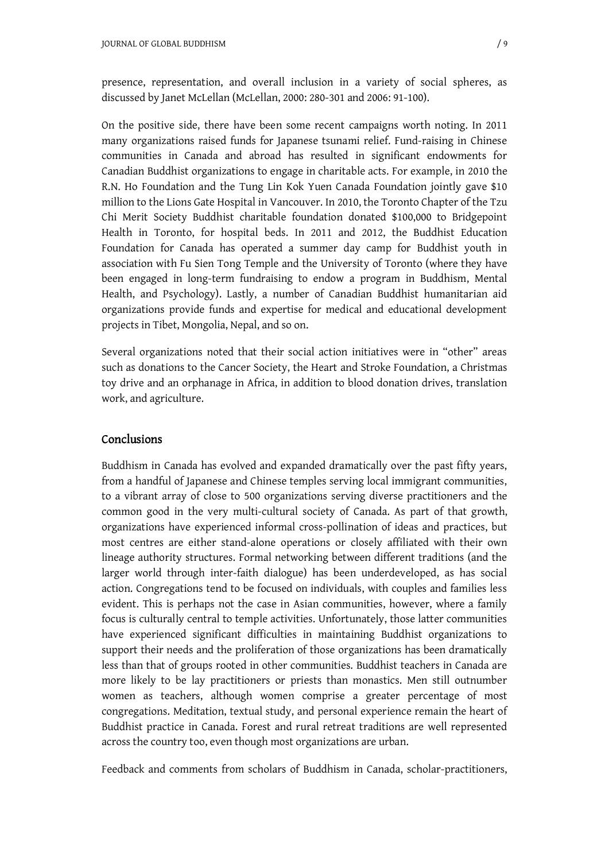presence, representation, and overall inclusion in a variety of social spheres, as discussed by Janet McLellan (McLellan, 2000: 280-301 and 2006: 91-100).

On the positive side, there have been some recent campaigns worth noting. In 2011 many organizations raised funds for Japanese tsunami relief. Fund-raising in Chinese communities in Canada and abroad has resulted in significant endowments for Canadian Buddhist organizations to engage in charitable acts. For example, in 2010 the R.N. Ho Foundation and the Tung Lin Kok Yuen Canada Foundation jointly gave \$10 million to the Lions Gate Hospital in Vancouver. In 2010, the Toronto Chapter of the Tzu Chi Merit Society Buddhist charitable foundation donated \$100,000 to Bridgepoint Health in Toronto, for hospital beds. In 2011 and 2012, the Buddhist Education Foundation for Canada has operated a summer day camp for Buddhist youth in association with Fu Sien Tong Temple and the University of Toronto (where they have been engaged in long-term fundraising to endow a program in Buddhism, Mental Health, and Psychology). Lastly, a number of Canadian Buddhist humanitarian aid organizations provide funds and expertise for medical and educational development projects in Tibet, Mongolia, Nepal, and so on.

Several organizations noted that their social action initiatives were in "other" areas such as donations to the Cancer Society, the Heart and Stroke Foundation, a Christmas toy drive and an orphanage in Africa, in addition to blood donation drives, translation work, and agriculture.

#### Conclusions

Buddhism in Canada has evolved and expanded dramatically over the past fifty years, from a handful of Japanese and Chinese temples serving local immigrant communities, to a vibrant array of close to 500 organizations serving diverse practitioners and the common good in the very multi-cultural society of Canada. As part of that growth, organizations have experienced informal cross-pollination of ideas and practices, but most centres are either stand-alone operations or closely affiliated with their own lineage authority structures. Formal networking between different traditions (and the larger world through inter-faith dialogue) has been underdeveloped, as has social action. Congregations tend to be focused on individuals, with couples and families less evident. This is perhaps not the case in Asian communities, however, where a family focus is culturally central to temple activities. Unfortunately, those latter communities have experienced significant difficulties in maintaining Buddhist organizations to support their needs and the proliferation of those organizations has been dramatically less than that of groups rooted in other communities. Buddhist teachers in Canada are more likely to be lay practitioners or priests than monastics. Men still outnumber women as teachers, although women comprise a greater percentage of most congregations. Meditation, textual study, and personal experience remain the heart of Buddhist practice in Canada. Forest and rural retreat traditions are well represented across the country too, even though most organizations are urban.

Feedback and comments from scholars of Buddhism in Canada, scholar-practitioners,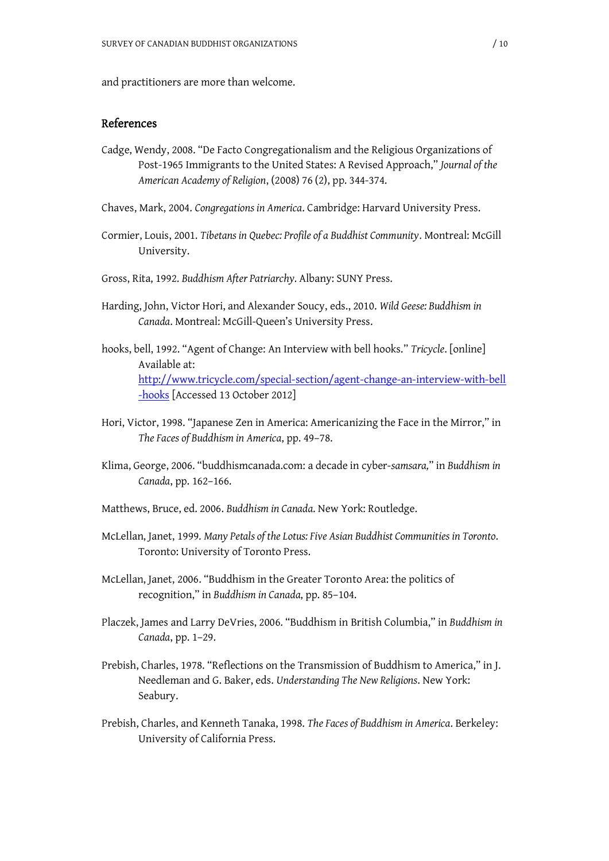and practitioners are more than welcome.

#### References

- Cadge, Wendy, 2008. "De Facto Congregationalism and the Religious Organizations of Post-1965 Immigrants to the United States: A Revised Approach," *Journal of the American Academy of Religion*, (2008) 76 (2), pp. 344-374.
- Chaves, Mark, 2004. *Congregations in America*. Cambridge: Harvard University Press.
- Cormier, Louis, 2001. *Tibetans in Quebec: Profile of a Buddhist Community*. Montreal: McGill University.
- Gross, Rita, 1992. *Buddhism After Patriarchy*. Albany: SUNY Press.
- Harding, John, Victor Hori, and Alexander Soucy, eds., 2010. *Wild Geese: Buddhism in Canada*. Montreal: McGill-Queen's University Press.
- hooks, bell, 1992. "Agent of Change: An Interview with bell hooks." *Tricycle*. [online] Available at: <http://www.tricycle.com/special-section/agent-change-an-interview-with-bell> -hooks [Accessed 13 October 2012]
- Hori, Victor, 1998. "Japanese Zen in America: Americanizing the Face in the Mirror," in *The Faces of Buddhism in America*, pp. 49–78.
- Klima, George, 2006. "buddhismcanada.com: a decade in cyber-*samsara,*" in *Buddhism in Canada*, pp. 162–166.
- Matthews, Bruce, ed. 2006. *Buddhism in Canada*. New York: Routledge.
- McLellan, Janet, 1999. *Many Petals of the Lotus: Five Asian Buddhist Communities in Toronto*. Toronto: University of Toronto Press.
- McLellan, Janet, 2006. "Buddhism in the Greater Toronto Area: the politics of recognition," in *Buddhism in Canada*, pp. 85–104.
- Placzek, James and Larry DeVries, 2006. "Buddhism in British Columbia," in *Buddhism in Canada*, pp. 1–29.
- Prebish, Charles, 1978. "Reflections on the Transmission of Buddhism to America," in J. Needleman and G. Baker, eds. *Understanding The New Religions*. New York: Seabury.
- Prebish, Charles, and Kenneth Tanaka, 1998. *The Faces of Buddhism in America*. Berkeley: University of California Press.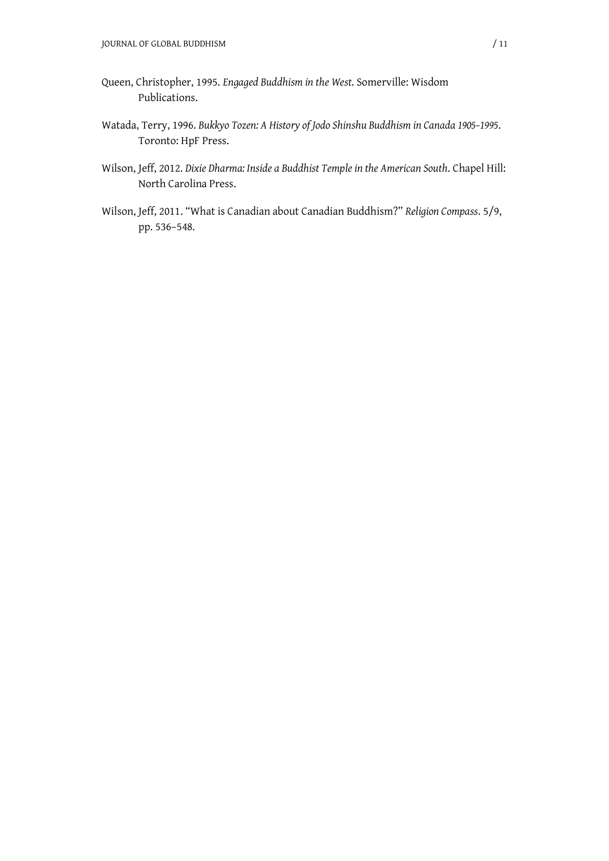- Queen, Christopher, 1995. *Engaged Buddhism in the West*. Somerville: Wisdom Publications.
- Watada, Terry, 1996. *Bukkyo Tozen: A History of Jodo Shinshu Buddhism in Canada 1905–1995*. Toronto: HpF Press.
- Wilson, Jeff, 2012. *Dixie Dharma: Inside a Buddhist Temple in the American South*. Chapel Hill: North Carolina Press.
- Wilson, Jeff, 2011. "What is Canadian about Canadian Buddhism?" *Religion Compass*. 5/9, pp. 536–548.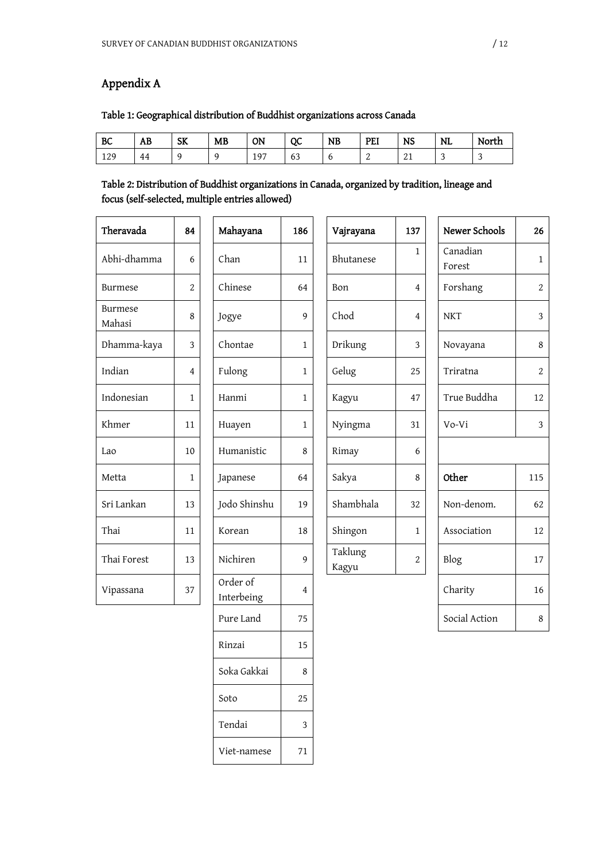## Appendix A

## Table 1: Geographical distribution of Buddhist organizations across Canada

| BC  | Ð<br>ΑB | SK | MB | ON  | QC                  | <b>NB</b> | PEI | NS           | <b>NL</b> | North |
|-----|---------|----|----|-----|---------------------|-----------|-----|--------------|-----------|-------|
| 129 | 44      |    |    | 197 | r n<br>$\sim$<br>υJ |           | ∼   | $\sim$<br>41 | ◡         | -     |

## Table 2: Distribution of Buddhist organizations in Canada, organized by tradition, lineage and focus (self-selected, multiple entries allowed)

| Theravada                | 84             | Mahayana               | 186            | Vajrayana        | 137            | Newer Schools      | 26             |
|--------------------------|----------------|------------------------|----------------|------------------|----------------|--------------------|----------------|
| Abhi-dhamma              | 6              | Chan                   | 11             | Bhutanese        | $\mathbf{1}$   | Canadian<br>Forest | $\mathbf{1}$   |
| <b>Burmese</b>           | $\overline{c}$ | Chinese                | 64             | Bon              | 4              | Forshang           | $\overline{2}$ |
| <b>Burmese</b><br>Mahasi | 8              | Jogye                  | 9              | Chod             | 4              | <b>NKT</b>         | $\overline{3}$ |
| Dhamma-kaya              | 3              | Chontae                | $\mathbf{1}$   | Drikung          | 3              | Novayana           | 8              |
| Indian                   | 4              | Fulong                 | $\mathbf{1}$   | Gelug            | 25             | Triratna           | $\overline{c}$ |
| Indonesian               | 1              | Hanmi                  | $\mathbf{1}$   | Kagyu            | 47             | True Buddha        | 12             |
| Khmer                    | 11             | Huayen                 | $\mathbf{1}$   | Nyingma          | 31             | Vo-Vi              | 3              |
| Lao                      | 10             | Humanistic             | 8              | Rimay            | 6              |                    |                |
| Metta                    | 1              | Japanese               | 64             | Sakya            | 8              | Other              | 115            |
| Sri Lankan               | 13             | Jodo Shinshu           | 19             | Shambhala        | 32             | Non-denom.         | 62             |
| Thai                     | 11             | Korean                 | 18             | Shingon          | $\mathbf{1}$   | Association        | 12             |
| Thai Forest              | 13             | Nichiren               | 9              | Taklung<br>Kagyu | $\overline{c}$ | Blog               | 17             |
| Vipassana                | 37             | Order of<br>Interbeing | $\overline{4}$ |                  |                | Charity            | 16             |
|                          |                | Pure Land              | 75             |                  |                | Social Action      | 8              |
|                          |                | Rinzai                 | 15             |                  |                |                    |                |
|                          |                | Soka Gakkai            | 8              |                  |                |                    |                |
|                          |                | Soto                   | 25             |                  |                |                    |                |

Tendai 3

Viet-namese 71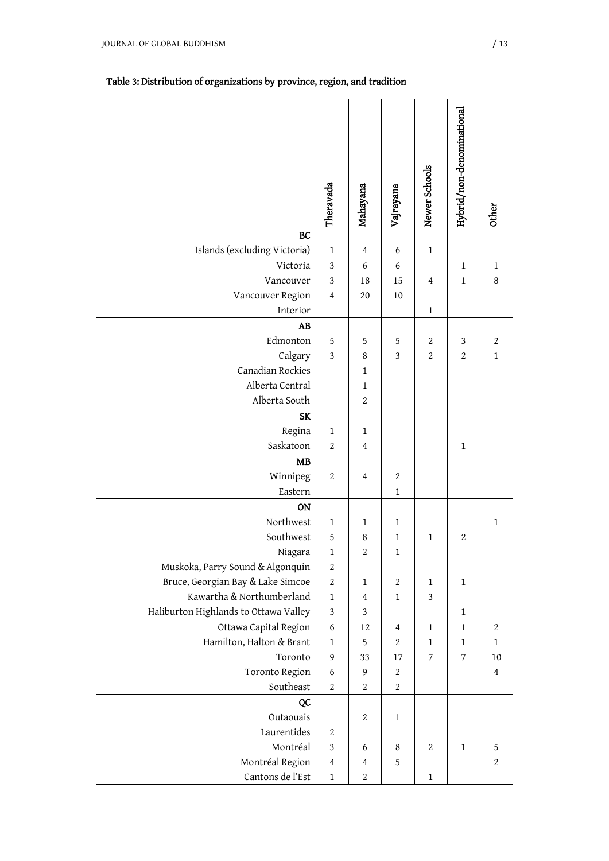## Table 3: Distribution of organizations by province, region, and tradition

|                                       | Theravada                 | Mahayana         | Vajrayana      | Newer Schools    | Hybrid/non-denominational | <b>Other</b>   |
|---------------------------------------|---------------------------|------------------|----------------|------------------|---------------------------|----------------|
| <b>BC</b>                             |                           |                  |                |                  |                           |                |
| Islands (excluding Victoria)          | $1\,$                     | 4                | 6              | $\mathbf{1}$     |                           |                |
| Victoria                              | $\sqrt{3}$                | 6                | 6              |                  | $\mathbf 1$               | $\mathbf 1$    |
| Vancouver                             | $\ensuremath{\mathsf{3}}$ | 18               | 15             | 4                | $\mathbf{1}$              | $\,8\,$        |
| Vancouver Region                      | $\overline{4}$            | $20\,$           | 10             |                  |                           |                |
| Interior                              |                           |                  |                | 1                |                           |                |
| AB                                    |                           |                  |                |                  |                           |                |
| Edmonton                              | 5                         | 5                | 5              | 2                | $\mathfrak 3$             | $\sqrt{2}$     |
| Calgary                               | $\ensuremath{\mathsf{3}}$ | 8                | $\mathfrak{Z}$ | $\boldsymbol{2}$ | $\boldsymbol{2}$          | $\mathbf 1$    |
| Canadian Rockies                      |                           | $\mathbf{1}$     |                |                  |                           |                |
| Alberta Central                       |                           | $1\,$            |                |                  |                           |                |
| Alberta South                         |                           | $\sqrt{2}$       |                |                  |                           |                |
| <b>SK</b>                             |                           |                  |                |                  |                           |                |
| Regina<br>Saskatoon                   | $\mathbf 1$<br>$\sqrt{2}$ | $1\,$<br>4       |                |                  | $\mathbf 1$               |                |
| <b>MB</b>                             |                           |                  |                |                  |                           |                |
| Winnipeg                              | $\sqrt{2}$                | 4                | $\sqrt{2}$     |                  |                           |                |
| Eastern                               |                           |                  | $\mathbf{1}$   |                  |                           |                |
| ON                                    |                           |                  |                |                  |                           |                |
| Northwest                             | $\mathbf{1}$              | $\mathbf{1}$     | $\mathbf{1}$   |                  |                           | $\mathbf 1$    |
| Southwest                             | $\mathbf 5$               | 8                | 1              | 1                | $\sqrt{2}$                |                |
| Niagara                               | $\mathbf{1}$              | $\boldsymbol{2}$ | $\mathbf{1}$   |                  |                           |                |
| Muskoka, Parry Sound & Algonquin      | $\boldsymbol{2}$          |                  |                |                  |                           |                |
| Bruce, Georgian Bay & Lake Simcoe     | $\sqrt{2}$                | $\mathbf{1}$     | $\sqrt{2}$     | 1                | $\mathbf{1}$              |                |
| Kawartha & Northumberland             | $\mathbf{1}$              | 4                | 1              | 3                |                           |                |
| Haliburton Highlands to Ottawa Valley | $\sqrt{3}$                | 3                |                |                  | $\mathbf{1}$              |                |
| Ottawa Capital Region                 | $\boldsymbol{6}$          | 12               | 4              | 1                | $\mathbf{1}$              | $\sqrt{2}$     |
| Hamilton, Halton & Brant              | $\mathbf{1}$              | $\mathbf 5$      | 2              | 1                | $\mathbf{1}$              | $\mathbf{1}$   |
| Toronto                               | 9                         | 33               | 17             | 7                | 7                         | 10             |
| Toronto Region                        | 6                         | 9                | $\sqrt{2}$     |                  |                           | $\overline{4}$ |
| Southeast                             | $\sqrt{2}$                | $\boldsymbol{2}$ | $\sqrt{2}$     |                  |                           |                |
| QC                                    |                           |                  |                |                  |                           |                |
| Outaouais                             |                           | 2                | 1              |                  |                           |                |
| Laurentides                           | 2                         |                  |                |                  |                           |                |
| Montréal                              | $\ensuremath{\mathsf{3}}$ | 6                | 8              | 2                | 1                         | 5              |
| Montréal Region                       | 4                         | 4                | 5              |                  |                           | $\sqrt{2}$     |
| Cantons de l'Est                      | $\mathbf{1}$              | $\boldsymbol{2}$ |                | 1                |                           |                |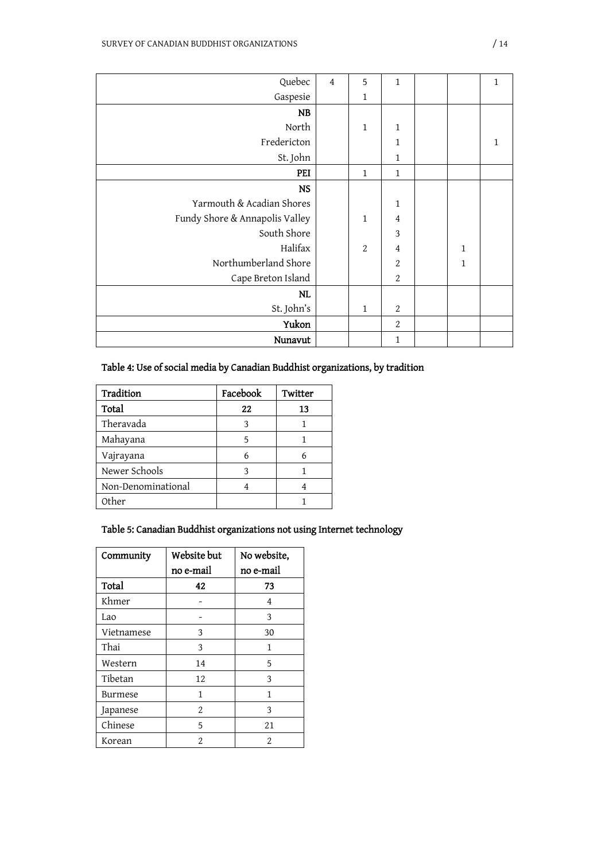| Quebec                         | $\overline{4}$ | 5                | $\mathbf{1}$     |              | $\mathbf{1}$ |
|--------------------------------|----------------|------------------|------------------|--------------|--------------|
| Gaspesie                       |                | 1                |                  |              |              |
| <b>NB</b>                      |                |                  |                  |              |              |
| North                          |                | $\mathbf{1}$     | 1                |              |              |
| Fredericton                    |                |                  | $\mathbf{1}$     |              | 1            |
| St. John                       |                |                  | $\mathbf{1}$     |              |              |
| PEI                            |                | $\mathbf{1}$     | $\mathbf{1}$     |              |              |
| <b>NS</b>                      |                |                  |                  |              |              |
| Yarmouth & Acadian Shores      |                |                  | 1                |              |              |
| Fundy Shore & Annapolis Valley |                | $\mathbf{1}$     | 4                |              |              |
| South Shore                    |                |                  | 3                |              |              |
| Halifax                        |                | $\boldsymbol{2}$ | $\boldsymbol{4}$ | $\mathbf{1}$ |              |
| Northumberland Shore           |                |                  | $\boldsymbol{2}$ | $\mathbf{1}$ |              |
| Cape Breton Island             |                |                  | $\overline{2}$   |              |              |
| <b>NL</b>                      |                |                  |                  |              |              |
| St. John's                     |                | 1                | $\sqrt{2}$       |              |              |
| Yukon                          |                |                  | $\sqrt{2}$       |              |              |
| Nunavut                        |                |                  | $\mathbf{1}$     |              |              |

## Table 4: Use of social media by Canadian Buddhist organizations, by tradition

| Tradition          | Facebook | Twitter |
|--------------------|----------|---------|
| Total              | 22       | 13      |
| Theravada          | 3        |         |
| Mahayana           | 5        |         |
| Vajrayana          | 6        |         |
| Newer Schools      | 3        |         |
| Non-Denominational |          |         |
| Other              |          |         |

## Table 5: Canadian Buddhist organizations not using Internet technology

| Community  | Website but   | No website,    |
|------------|---------------|----------------|
|            | no e-mail     | no e-mail      |
| Total      | 42            | 73             |
| Khmer      |               | 4              |
| Lao        |               | 3              |
| Vietnamese | 3             | 30             |
| Thai       | 3             | 1              |
| Western    | 14            | 5              |
| Tibetan    | 12            | 3              |
| Burmese    | 1             | 1              |
| Japanese   | 2             | 3              |
| Chinese    | 5             | 21             |
| Korean     | $\mathcal{D}$ | $\mathfrak{D}$ |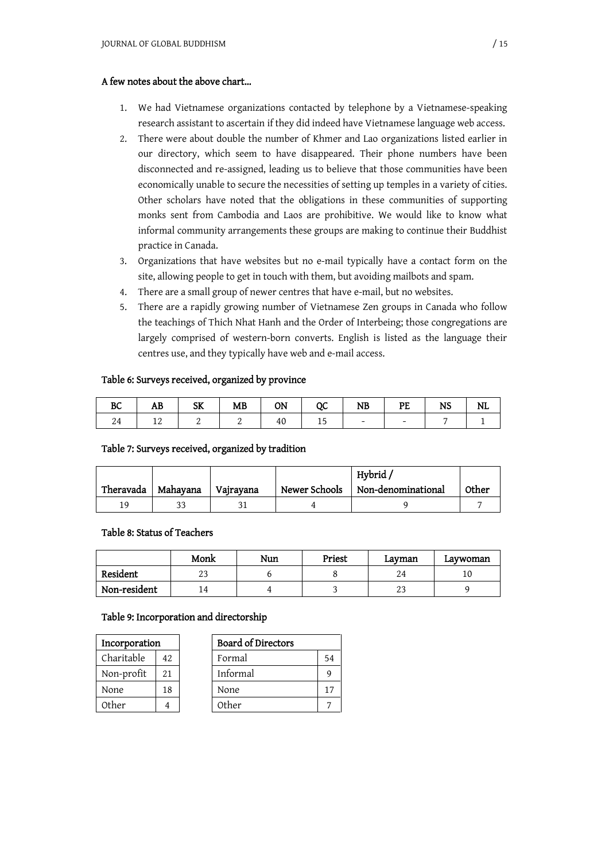#### A few notes about the above chart…

- 1. We had Vietnamese organizations contacted by telephone by a Vietnamese-speaking research assistant to ascertain if they did indeed have Vietnamese language web access.
- 2. There were about double the number of Khmer and Lao organizations listed earlier in our directory, which seem to have disappeared. Their phone numbers have been disconnected and re-assigned, leading us to believe that those communities have been economically unable to secure the necessities of setting up temples in a variety of cities. Other scholars have noted that the obligations in these communities of supporting monks sent from Cambodia and Laos are prohibitive. We would like to know what informal community arrangements these groups are making to continue their Buddhist practice in Canada.
- 3. Organizations that have websites but no e-mail typically have a contact form on the site, allowing people to get in touch with them, but avoiding mailbots and spam.
- 4. There are a small group of newer centres that have e-mail, but no websites.
- 5. There are a rapidly growing number of Vietnamese Zen groups in Canada who follow the teachings of Thich Nhat Hanh and the Order of Interbeing; those congregations are largely comprised of western-born converts. English is listed as the language their centres use, and they typically have web and e-mail access.

#### Table 6: Surveys received, organized by province

| BC | AB | <b>SK</b> | <b>MB</b> | <b>ON</b> | $_{\rm oc}$ | <b>NB</b>                | PE | <b>NS</b> | NL |
|----|----|-----------|-----------|-----------|-------------|--------------------------|----|-----------|----|
|    | ┸  |           | ▵         | 40        | 15          | $\overline{\phantom{a}}$ |    |           |    |

#### Table 7: Surveys received, organized by tradition

|           |          |           |               | Hybrid/            |       |
|-----------|----------|-----------|---------------|--------------------|-------|
| Theravada | Mahayana | Vajrayana | Newer Schools | Non-denominational | Other |
| 1 Q       |          |           |               |                    |       |

#### Table 8: Status of Teachers

|              | Monk | Nun | Priest | Lavman          | Lavwoman |
|--------------|------|-----|--------|-----------------|----------|
| Resident     | 25   |     |        | 24              |          |
| Non-resident | 14   |     |        | $\Omega$<br>ن ک |          |

#### Table 9: Incorporation and directorship

| Incorporation |     | <b>Board of Directors</b> |
|---------------|-----|---------------------------|
| Charitable    | 42  | Formal                    |
| Non-profit    | 2.1 | Informal                  |
| None          | 18  | None                      |
| Other         |     | Other                     |

| Incorporation |     | <b>Board of Directors</b> |    |
|---------------|-----|---------------------------|----|
| Charitable    | 42  | Formal                    | 54 |
| Non-profit    | 2.1 | Informal                  |    |
| None          | 18  | None                      |    |
| Other         |     | Other                     |    |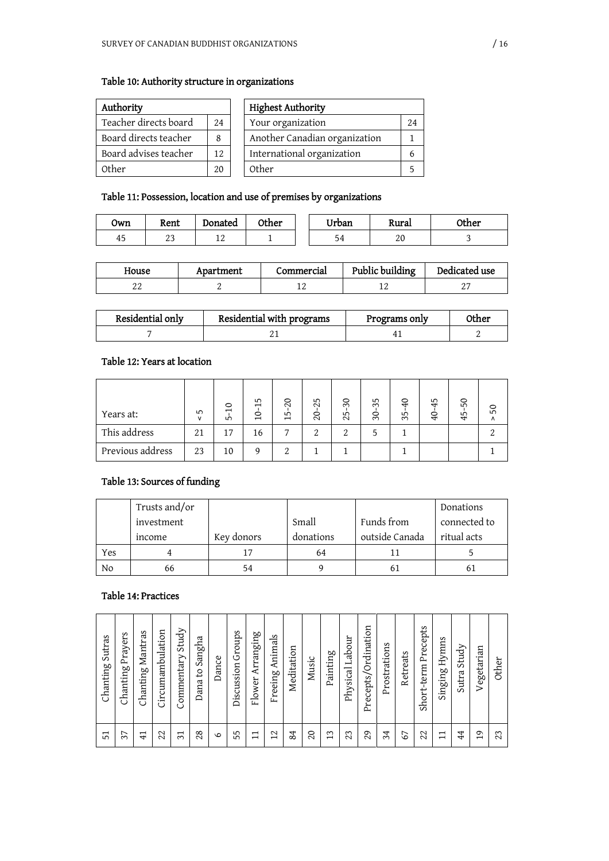## Table 10: Authority structure in organizations

| Authority             |     |       | <b>Highest Authority</b>      |    |
|-----------------------|-----|-------|-------------------------------|----|
| Teacher directs board | 2.4 |       | Your organization             | 24 |
| Board directs teacher | 8   |       | Another Canadian organization |    |
| Board advises teacher | 12. |       | International organization    |    |
| 0ther                 | 20  | Other |                               |    |

## Table 11: Possession, location and use of premises by organizations

| Own      | Rent       | Donated     | Other | Urban | Rural | Other |
|----------|------------|-------------|-------|-------|-------|-------|
| 4ء<br>τυ | n n<br>ر ے | $\sim$<br>∸ |       | 54    | 20    | ◡     |

| House | Apartment | Commercial | Public building | Dedicated use |
|-------|-----------|------------|-----------------|---------------|
| ▵▵    |           |            |                 | . .           |

| Residential only | Residential with programs | Programs only | <b>)ther</b> |
|------------------|---------------------------|---------------|--------------|
|                  |                           |               |              |

## Table 12: Years at location

| Years at:        | ഹ<br>$\mathsf{v}$ | $\circ$<br>$\overline{\phantom{0}}$<br>LO | 15<br>0<br>$\overline{\phantom{0}}$ | $\Omega$<br>LO.<br>$\overline{ }$ | 25<br>0<br>$\sim$ | $\mathcal{S}$<br>LO<br>$\sim$ | 35<br>$\circ$<br>$\infty$ | $\Theta$<br>LO<br>$\sim$ | 45<br>$\overline{6}$ | SO<br>5<br>4 | SO<br>٨ |
|------------------|-------------------|-------------------------------------------|-------------------------------------|-----------------------------------|-------------------|-------------------------------|---------------------------|--------------------------|----------------------|--------------|---------|
| This address     | 21                | 17                                        | 16                                  | $\overline{ }$                    | 2                 |                               | ∽                         |                          |                      |              |         |
| Previous address | 23                | 10                                        |                                     | റ                                 |                   |                               |                           |                          |                      |              |         |

## Table 13: Sources of funding

|     | Trusts and/or |            |           |                | Donations    |
|-----|---------------|------------|-----------|----------------|--------------|
|     | investment    |            | Small     | Funds from     | connected to |
|     | income        | Key donors | donations | outside Canada | ritual acts  |
| Yes |               |            | 64        |                |              |
| No  | 66            | 54         |           | b.             | 61           |

## Table 14: Practices

| $\circ$ | Chanting Sutras<br>51 | Prayers<br>Chanting<br>37 | Mantras<br>Chanting<br>$\overline{41}$ | Circumambulation<br>22 | Study<br>Commentary<br>$\overline{31}$ | Sangha<br>Ω,<br>Dana<br>28 | Dance | Groups<br>Discussion<br>5 | Arranging<br>Flower<br>$\overline{\phantom{0}}$ | Animals<br>Freeing.<br>12 | Meditation<br>84 | Music<br>20 | Painting<br>13 | Physical Labour<br>23 | Precepts/Ordination<br>29 | Prostrations<br>34 | Retreats<br>67 | Precepts<br>Short-term<br>22 | Hymns<br>Singing<br>$\mathbf{\mathbf{\mathsf{H}}}$ | Study<br><b>Sutra</b><br>44 | Vegetarian<br>$\sigma$ |  |
|---------|-----------------------|---------------------------|----------------------------------------|------------------------|----------------------------------------|----------------------------|-------|---------------------------|-------------------------------------------------|---------------------------|------------------|-------------|----------------|-----------------------|---------------------------|--------------------|----------------|------------------------------|----------------------------------------------------|-----------------------------|------------------------|--|
|---------|-----------------------|---------------------------|----------------------------------------|------------------------|----------------------------------------|----------------------------|-------|---------------------------|-------------------------------------------------|---------------------------|------------------|-------------|----------------|-----------------------|---------------------------|--------------------|----------------|------------------------------|----------------------------------------------------|-----------------------------|------------------------|--|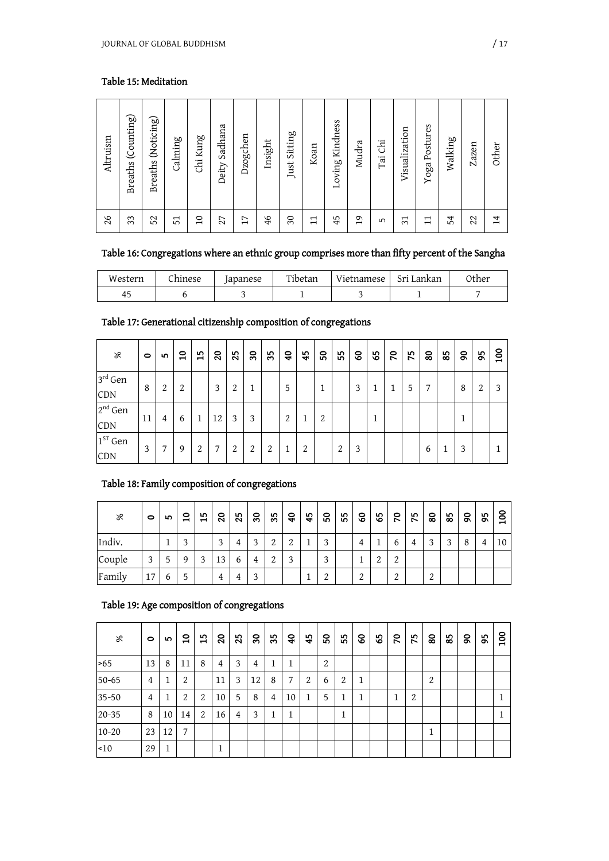## Table 15: Meditation

| 26              | Altruism                     |
|-----------------|------------------------------|
| 33              | (Counting)<br><b>Breaths</b> |
| 52              | (Noticing)<br><b>Breaths</b> |
| 51              | Calming                      |
| $\Omega$        | Kung<br>С'n                  |
| 27              | Sadhana<br>Deity             |
| 17              | Dzogchen                     |
| 46              | Insight                      |
| $\mathcal{S}$   | Sitting<br>Just.             |
| $\mathbf{1}$    | Koan                         |
| 45              | Kindness<br>Loving           |
| $\overline{19}$ | Mudra                        |
| 5               | Ġі<br>Tai                    |
| $\overline{31}$ | Visualization                |
| 日               | Postures<br>Yoga             |
| 54              | Walking                      |
| 22              | Zazen                        |
| 14              | Other                        |

## Table 16: Congregations where an ethnic group comprises more than fifty percent of the Sangha

| Western | hinese | apanese | Tibetan | Vietnamese | Sri Lankan | ንther |
|---------|--------|---------|---------|------------|------------|-------|
| ΞJ      |        |         |         |            |            |       |

## Table 17: Generational citizenship composition of congregations

| ৡ                          | $\circ$ | 5 | $\mathsf{a}$ | 15     | $\boldsymbol{S}$ | 25 | $\boldsymbol{30}$ | 35     | $\overline{\mathbf{a}}$ | 45 | SO <sub>1</sub> | 55 | $\infty$ | 65 | $\mathcal{R}$ | 75 | 80 | 85 | $\boldsymbol{8}$ | 95     | 100 |
|----------------------------|---------|---|--------------|--------|------------------|----|-------------------|--------|-------------------------|----|-----------------|----|----------|----|---------------|----|----|----|------------------|--------|-----|
| $3^{\text{rd}}$ Gen<br>CDN | 8       | 2 | 2            |        | 3                | 2  | 1                 |        | 5                       |    |                 |    | 3        |    |               | 5  | 7  |    | 8                | っ<br>∠ | 3   |
| $2nd$ Gen<br>CDN           | 11      | 4 | 6            |        | 12               | 3  | 3                 |        | 2                       | ᅩ  | っ               |    |          |    |               |    |    |    | и                |        |     |
| $1ST$ Gen<br>CDN           | 3       | 7 | 9            | ↑<br>∠ | ⇁                | 2  | 2                 | റ<br>∠ | 1                       | 2  |                 | 2  | 3        |    |               |    | 6  |    | 3                |        |     |

## Table 18: Family composition of congregations

| ৡ      | $\circ$           | ഥ            | $\mathsf{a}$ | 15 | $\boldsymbol{S}$ | 25 | ္က                | 35     | $\overline{\mathbf{a}}$ | 45 | $\mathbf{S}$ | 55 | ငွ       | 65       | $\mathcal{L}$ | 75 | 80 | 85 | $\boldsymbol{8}$ | 56 | 8<br>– |
|--------|-------------------|--------------|--------------|----|------------------|----|-------------------|--------|-------------------------|----|--------------|----|----------|----------|---------------|----|----|----|------------------|----|--------|
| Indiv. |                   |              | ◠            |    | 3                | 4  | $\mathbf{\Omega}$ | ↑<br>▵ | $\Omega$                |    | 2            |    | 4        |          | 6             | 4  | 2  | 3  | 8                | 4  | 10     |
| Couple | $\mathbf{\Omega}$ | 5            | 9            | 3  | 13               | 6  | 4                 | っ      | 3                       |    | 3            |    |          | $\Omega$ | 2             |    |    |    |                  |    |        |
| Family | 17                | $\mathbf{6}$ | 5            |    | 4                | 4  | $\mathbf{\Omega}$ |        |                         |    | っ            |    | $\Omega$ |          | 2             |    | 2  |    |                  |    |        |

## Table 19: Age composition of congregations

| ৯         | $\bullet$ | <b>IO</b> | $\mathbf{a}$   | $\frac{5}{1}$ | $\overline{c}$ | 25             | $\boldsymbol{30}$ | 35 | ទ  | 45 | $\mathbf{S}$ | 55             | 8 | 65 | 20 | 75     | 80 | 85 | $\mathsf{S}$ | 95 | 100 |
|-----------|-----------|-----------|----------------|---------------|----------------|----------------|-------------------|----|----|----|--------------|----------------|---|----|----|--------|----|----|--------------|----|-----|
| >65       | 13        | 8         | 11             | 8             | $\overline{4}$ | 3              | $\overline{4}$    | 1  | T  |    | 2            |                |   |    |    |        |    |    |              |    |     |
| $50 - 65$ | 4         |           | $\overline{2}$ |               | 11             | 3              | 12                | 8  | 7  | 2  | 6            | $\overline{2}$ | 1 |    |    |        | 2  |    |              |    |     |
| 35-50     | 4         | 1         | 2              | 2             | 10             | 5              | 8                 | 4  | 10 | 1  | 5            | 1              | 1 |    |    | ↑<br>∠ |    |    |              |    |     |
| $20 - 35$ | 8         | 10        | 14             | 2             | 16             | $\overline{4}$ | 3                 | 1  | T  |    |              | $\mathbf{1}$   |   |    |    |        |    |    |              |    |     |
| $10 - 20$ | 23        | 12        | 7              |               |                |                |                   |    |    |    |              |                |   |    |    |        | 1  |    |              |    |     |
| $-10$     | 29        | 1<br>┻    |                |               | 1              |                |                   |    |    |    |              |                |   |    |    |        |    |    |              |    |     |